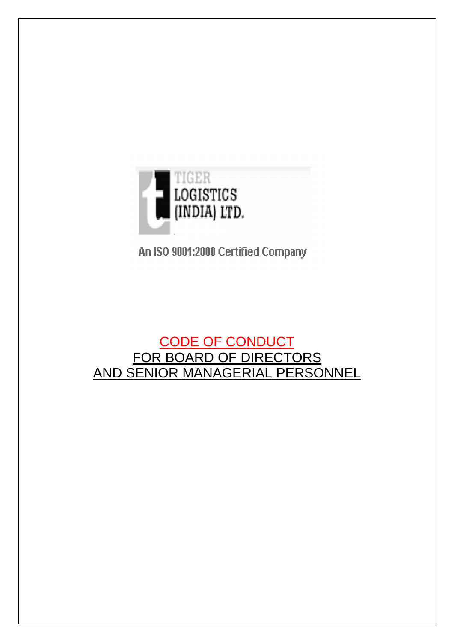

An ISO 9001:2000 Certified Company

# CODE OF CONDUCT FOR BOARD OF DIRECTORS AND SENIOR MANAGERIAL PERSONNEL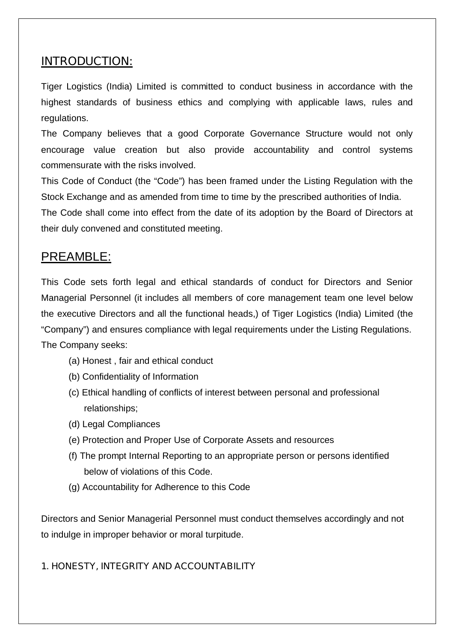## **INTRODUCTION:**

Tiger Logistics (India) Limited is committed to conduct business in accordance with the highest standards of business ethics and complying with applicable laws, rules and regulations.

The Company believes that a good Corporate Governance Structure would not only encourage value creation but also provide accountability and control systems commensurate with the risks involved.

This Code of Conduct (the "Code") has been framed under the Listing Regulation with the Stock Exchange and as amended from time to time by the prescribed authorities of India.

The Code shall come into effect from the date of its adoption by the Board of Directors at their duly convened and constituted meeting.

## PREAMBLE:

This Code sets forth legal and ethical standards of conduct for Directors and Senior Managerial Personnel (it includes all members of core management team one level below the executive Directors and all the functional heads,) of Tiger Logistics (India) Limited (the "Company") and ensures compliance with legal requirements under the Listing Regulations. The Company seeks:

- (a) Honest , fair and ethical conduct
- (b) Confidentiality of Information
- (c) Ethical handling of conflicts of interest between personal and professional relationships;
- (d) Legal Compliances
- (e) Protection and Proper Use of Corporate Assets and resources
- (f) The prompt Internal Reporting to an appropriate person or persons identified below of violations of this Code.
- (g) Accountability for Adherence to this Code

Directors and Senior Managerial Personnel must conduct themselves accordingly and not to indulge in improper behavior or moral turpitude.

## **1. HONESTY, INTEGRITY AND ACCOUNTABILITY**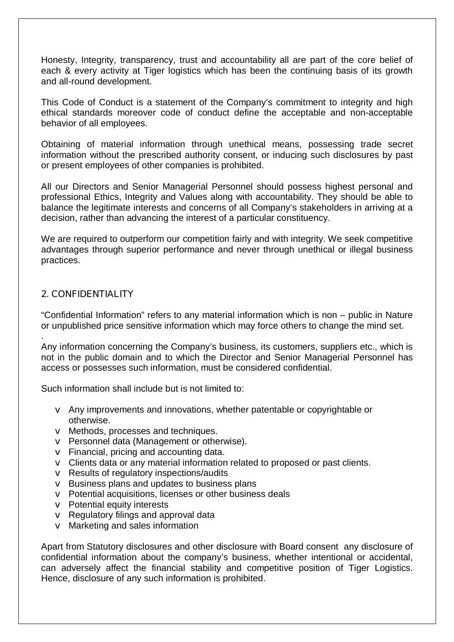Honesty, Integrity, transparency, trust and accountability all are part of the core belief of each & every activity at Tiger logistics which has been the continuing basis of its growth and all-round development.

This Code of Conduct is a statement of the Company's commitment to integrity and high ethical standards moreover code of conduct define the acceptable and non-acceptable behavior of all employees.

Obtaining of material information through unethical means, possessing trade secret information without the prescribed authority consent, or inducing such disclosures by past or present employees of other companies is prohibited.

All our Directors and Senior Managerial Personnel should possess highest personal and professional Ethics, Integrity and Values along with accountability. They should be able to balance the legitimate interests and concerns of all Company's stakeholders in arriving at a decision, rather than advancing the interest of a particular constituency.

We are required to outperform our competition fairly and with integrity. We seek competitive advantages through superior performance and never through unethical or illegal business practices.

## **2. CONFIDENTIALITY**

"Confidential Information" refers to any material information which is non – public in Nature or unpublished price sensitive information which may force others to change the mind set.

. Any information concerning the Company's business, its customers, suppliers etc., which is not in the public domain and to which the Director and Senior Managerial Personnel has access or possesses such information, must be considered confidential.

Such information shall include but is not limited to:

- v Any improvements and innovations, whether patentable or copyrightable or otherwise.
- v Methods, processes and techniques.
- v Personnel data (Management or otherwise).
- $\vee$  Financial, pricing and accounting data.
- v Clients data or any material information related to proposed or past clients.
- v Results of regulatory inspections/audits
- v Business plans and updates to business plans
- v Potential acquisitions, licenses or other business deals
- v Potential equity interests
- v Regulatory filings and approval data
- $\vee$  Marketing and sales information

Apart from Statutory disclosures and other disclosure with Board consent any disclosure of confidential information about the company's business, whether intentional or accidental, can adversely affect the financial stability and competitive position of Tiger Logistics. Hence, disclosure of any such information is prohibited.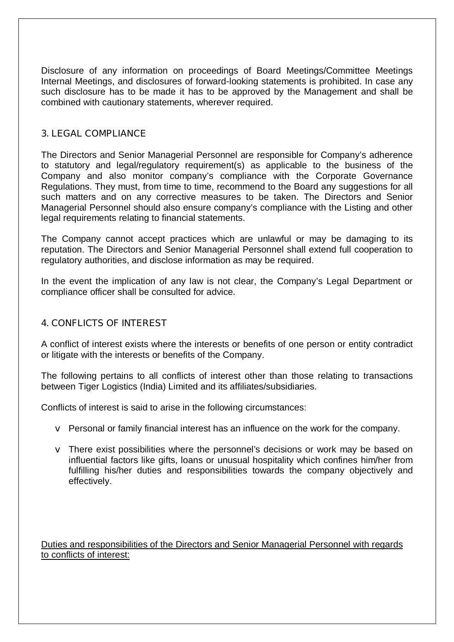Disclosure of any information on proceedings of Board Meetings/Committee Meetings Internal Meetings, and disclosures of forward-looking statements is prohibited. In case any such disclosure has to be made it has to be approved by the Management and shall be combined with cautionary statements, wherever required.

## **3. LEGAL COMPLIANCE**

The Directors and Senior Managerial Personnel are responsible for Company's adherence to statutory and legal/regulatory requirement(s) as applicable to the business of the Company and also monitor company's compliance with the Corporate Governance Regulations. They must, from time to time, recommend to the Board any suggestions for all such matters and on any corrective measures to be taken. The Directors and Senior Managerial Personnel should also ensure company's compliance with the Listing and other legal requirements relating to financial statements.

The Company cannot accept practices which are unlawful or may be damaging to its reputation. The Directors and Senior Managerial Personnel shall extend full cooperation to regulatory authorities, and disclose information as may be required.

In the event the implication of any law is not clear, the Company's Legal Department or compliance officer shall be consulted for advice.

## **4. CONFLICTS OF INTEREST**

A conflict of interest exists where the interests or benefits of one person or entity contradict or litigate with the interests or benefits of the Company.

The following pertains to all conflicts of interest other than those relating to transactions between Tiger Logistics (India) Limited and its affiliates/subsidiaries.

Conflicts of interest is said to arise in the following circumstances:

- v Personal or family financial interest has an influence on the work for the company.
- v There exist possibilities where the personnel's decisions or work may be based on influential factors like gifts, loans or unusual hospitality which confines him/her from fulfilling his/her duties and responsibilities towards the company objectively and effectively.

Duties and responsibilities of the Directors and Senior Managerial Personnel with regards to conflicts of interest: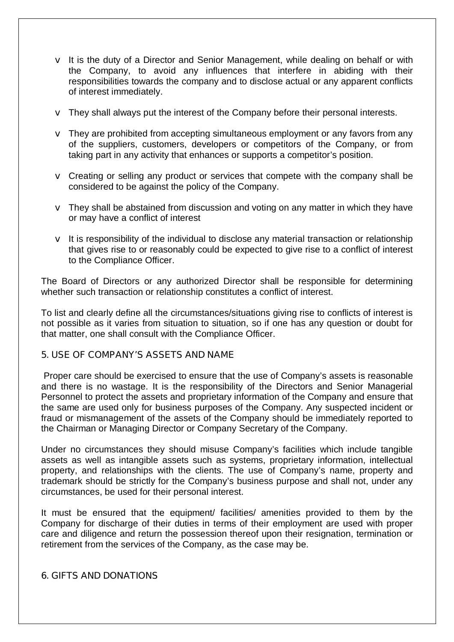- $\vee$  It is the duty of a Director and Senior Management, while dealing on behalf or with the Company, to avoid any influences that interfere in abiding with their responsibilities towards the company and to disclose actual or any apparent conflicts of interest immediately.
- $\vee$  They shall always put the interest of the Company before their personal interests.
- v They are prohibited from accepting simultaneous employment or any favors from any of the suppliers, customers, developers or competitors of the Company, or from taking part in any activity that enhances or supports a competitor's position.
- v Creating or selling any product or services that compete with the company shall be considered to be against the policy of the Company.
- $\vee$  They shall be abstained from discussion and voting on any matter in which they have or may have a conflict of interest
- $\vee$  It is responsibility of the individual to disclose any material transaction or relationship that gives rise to or reasonably could be expected to give rise to a conflict of interest to the Compliance Officer.

The Board of Directors or any authorized Director shall be responsible for determining whether such transaction or relationship constitutes a conflict of interest.

To list and clearly define all the circumstances/situations giving rise to conflicts of interest is not possible as it varies from situation to situation, so if one has any question or doubt for that matter, one shall consult with the Compliance Officer.

#### **5. USE OF COMPANY'S ASSETS AND NAME**

 Proper care should be exercised to ensure that the use of Company's assets is reasonable and there is no wastage. It is the responsibility of the Directors and Senior Managerial Personnel to protect the assets and proprietary information of the Company and ensure that the same are used only for business purposes of the Company. Any suspected incident or fraud or mismanagement of the assets of the Company should be immediately reported to the Chairman or Managing Director or Company Secretary of the Company.

Under no circumstances they should misuse Company's facilities which include tangible assets as well as intangible assets such as systems, proprietary information, intellectual property, and relationships with the clients. The use of Company's name, property and trademark should be strictly for the Company's business purpose and shall not, under any circumstances, be used for their personal interest.

It must be ensured that the equipment/ facilities/ amenities provided to them by the Company for discharge of their duties in terms of their employment are used with proper care and diligence and return the possession thereof upon their resignation, termination or retirement from the services of the Company, as the case may be.

#### **6. GIFTS AND DONATIONS**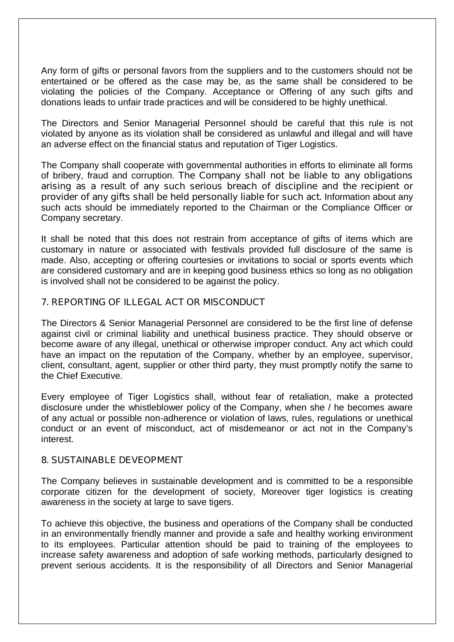Any form of gifts or personal favors from the suppliers and to the customers should not be entertained or be offered as the case may be, as the same shall be considered to be violating the policies of the Company. Acceptance or Offering of any such gifts and donations leads to unfair trade practices and will be considered to be highly unethical.

The Directors and Senior Managerial Personnel should be careful that this rule is not violated by anyone as its violation shall be considered as unlawful and illegal and will have an adverse effect on the financial status and reputation of Tiger Logistics.

The Company shall cooperate with governmental authorities in efforts to eliminate all forms of bribery, fraud and corruption. **The Company shall not be liable to any obligations arising as a result of any such serious breach of discipline and the recipient or provider of any gifts shall be held personally liable for such act.** Information about any such acts should be immediately reported to the Chairman or the Compliance Officer or Company secretary.

It shall be noted that this does not restrain from acceptance of gifts of items which are customary in nature or associated with festivals provided full disclosure of the same is made. Also, accepting or offering courtesies or invitations to social or sports events which are considered customary and are in keeping good business ethics so long as no obligation is involved shall not be considered to be against the policy.

#### **7. REPORTING OF ILLEGAL ACT OR MISCONDUCT**

The Directors & Senior Managerial Personnel are considered to be the first line of defense against civil or criminal liability and unethical business practice. They should observe or become aware of any illegal, unethical or otherwise improper conduct. Any act which could have an impact on the reputation of the Company, whether by an employee, supervisor, client, consultant, agent, supplier or other third party, they must promptly notify the same to the Chief Executive.

Every employee of Tiger Logistics shall, without fear of retaliation, make a protected disclosure under the whistleblower policy of the Company, when she / he becomes aware of any actual or possible non-adherence or violation of laws, rules, regulations or unethical conduct or an event of misconduct, act of misdemeanor or act not in the Company's interest.

#### **8. SUSTAINABLE DEVEOPMENT**

The Company believes in sustainable development and is committed to be a responsible corporate citizen for the development of society, Moreover tiger logistics is creating awareness in the society at large to save tigers.

To achieve this objective, the business and operations of the Company shall be conducted in an environmentally friendly manner and provide a safe and healthy working environment to its employees. Particular attention should be paid to training of the employees to increase safety awareness and adoption of safe working methods, particularly designed to prevent serious accidents. It is the responsibility of all Directors and Senior Managerial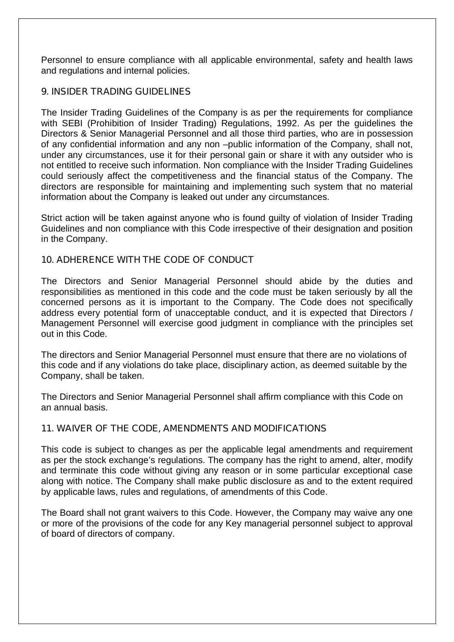Personnel to ensure compliance with all applicable environmental, safety and health laws and regulations and internal policies.

## **9. INSIDER TRADING GUIDELINES**

The Insider Trading Guidelines of the Company is as per the requirements for compliance with SEBI (Prohibition of Insider Trading) Regulations, 1992. As per the guidelines the Directors & Senior Managerial Personnel and all those third parties, who are in possession of any confidential information and any non –public information of the Company, shall not, under any circumstances, use it for their personal gain or share it with any outsider who is not entitled to receive such information. Non compliance with the Insider Trading Guidelines could seriously affect the competitiveness and the financial status of the Company. The directors are responsible for maintaining and implementing such system that no material information about the Company is leaked out under any circumstances.

Strict action will be taken against anyone who is found guilty of violation of Insider Trading Guidelines and non compliance with this Code irrespective of their designation and position in the Company.

## **10. ADHERENCE WITH THE CODE OF CONDUCT**

The Directors and Senior Managerial Personnel should abide by the duties and responsibilities as mentioned in this code and the code must be taken seriously by all the concerned persons as it is important to the Company. The Code does not specifically address every potential form of unacceptable conduct, and it is expected that Directors / Management Personnel will exercise good judgment in compliance with the principles set out in this Code.

The directors and Senior Managerial Personnel must ensure that there are no violations of this code and if any violations do take place, disciplinary action, as deemed suitable by the Company, shall be taken.

The Directors and Senior Managerial Personnel shall affirm compliance with this Code on an annual basis.

## **11. WAIVER OF THE CODE, AMENDMENTS AND MODIFICATIONS**

This code is subject to changes as per the applicable legal amendments and requirement as per the stock exchange's regulations. The company has the right to amend, alter, modify and terminate this code without giving any reason or in some particular exceptional case along with notice. The Company shall make public disclosure as and to the extent required by applicable laws, rules and regulations, of amendments of this Code.

The Board shall not grant waivers to this Code. However, the Company may waive any one or more of the provisions of the code for any Key managerial personnel subject to approval of board of directors of company.